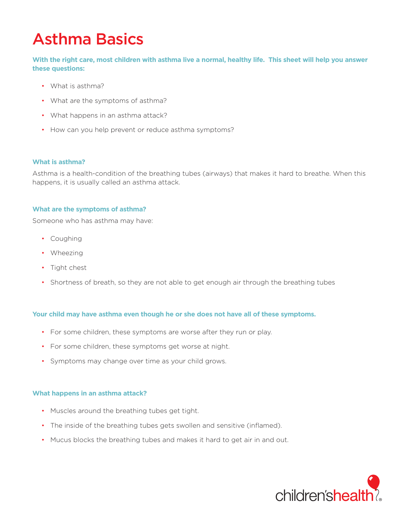# Asthma Basics

**With the right care, most children with asthma live a normal, healthy life. This sheet will help you answer these questions:**

- What is asthma?
- What are the symptoms of asthma?
- What happens in an asthma attack?
- How can you help prevent or reduce asthma symptoms?

# **What is asthma?**

Asthma is a health-condition of the breathing tubes (airways) that makes it hard to breathe. When this happens, it is usually called an asthma attack.

# **What are the symptoms of asthma?**

Someone who has asthma may have:

- Coughing
- Wheezing
- Tight chest
- Shortness of breath, so they are not able to get enough air through the breathing tubes

# **Your child may have asthma even though he or she does not have all of these symptoms.**

- For some children, these symptoms are worse after they run or play.
- For some children, these symptoms get worse at night.
- Symptoms may change over time as your child grows.

#### **What happens in an asthma attack?**

- Muscles around the breathing tubes get tight.
- The inside of the breathing tubes gets swollen and sensitive (inflamed).
- Mucus blocks the breathing tubes and makes it hard to get air in and out.

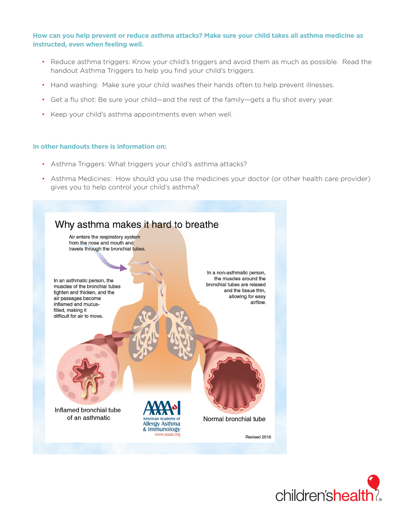# **How can you help prevent or reduce asthma attacks? Make sure your child takes all asthma medicine as instructed, even when feeling well.**

- Reduce asthma triggers: Know your child's triggers and avoid them as much as possible. Read the handout Asthma Triggers to help you find your child's triggers.
- Hand washing: Make sure your child washes their hands often to help prevent illnesses.
- Get a flu shot: Be sure your child—and the rest of the family—gets a flu shot every year.
- Keep your child's asthma appointments even when well.

# **In other handouts there is information on:**

- Asthma Triggers: What triggers your child's asthma attacks?
- Asthma Medicines: How should you use the medicines your doctor (or other health care provider) gives you to help control your child's asthma?